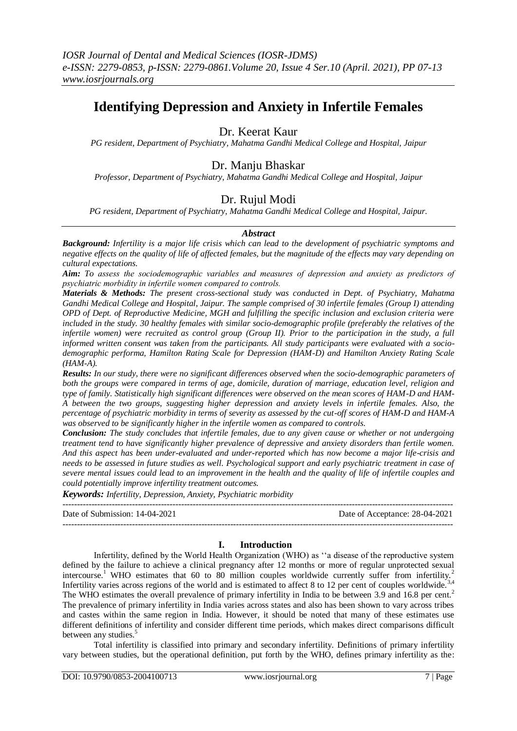# **Identifying Depression and Anxiety in Infertile Females**

# Dr. Keerat Kaur

*PG resident, Department of Psychiatry, Mahatma Gandhi Medical College and Hospital, Jaipur*

# Dr. Manju Bhaskar

*Professor, Department of Psychiatry, Mahatma Gandhi Medical College and Hospital, Jaipur*

# Dr. Rujul Modi

*PG resident, Department of Psychiatry, Mahatma Gandhi Medical College and Hospital, Jaipur.*

# *Abstract*

*Background: Infertility is a major life crisis which can lead to the development of psychiatric symptoms and negative effects on the quality of life of affected females, but the magnitude of the effects may vary depending on cultural expectations.* 

*Aim: To assess the sociodemographic variables and measures of depression and anxiety as predictors of psychiatric morbidity in infertile women compared to controls.*

*Materials & Methods: The present cross-sectional study was conducted in Dept. of Psychiatry, Mahatma Gandhi Medical College and Hospital, Jaipur. The sample comprised of 30 infertile females (Group I) attending OPD of Dept. of Reproductive Medicine, MGH and fulfilling the specific inclusion and exclusion criteria were included in the study. 30 healthy females with similar socio-demographic profile (preferably the relatives of the infertile women) were recruited as control group (Group II). Prior to the participation in the study, a full informed written consent was taken from the participants. All study participants were evaluated with a sociodemographic performa, Hamilton Rating Scale for Depression (HAM-D) and Hamilton Anxiety Rating Scale (HAM-A).*

*Results: In our study, there were no significant differences observed when the socio-demographic parameters of both the groups were compared in terms of age, domicile, duration of marriage, education level, religion and type of family. Statistically high significant differences were observed on the mean scores of HAM-D and HAM-A between the two groups, suggesting higher depression and anxiety levels in infertile females. Also, the percentage of psychiatric morbidity in terms of severity as assessed by the cut-off scores of HAM-D and HAM-A was observed to be significantly higher in the infertile women as compared to controls.*

*Conclusion: The study concludes that infertile females, due to any given cause or whether or not undergoing treatment tend to have significantly higher prevalence of depressive and anxiety disorders than fertile women. And this aspect has been under-evaluated and under-reported which has now become a major life-crisis and needs to be assessed in future studies as well. Psychological support and early psychiatric treatment in case of severe mental issues could lead to an improvement in the health and the quality of life of infertile couples and could potentially improve infertility treatment outcomes.*

*Keywords: Infertility, Depression, Anxiety, Psychiatric morbidity*

| Date of Submission: 14-04-2021 | Date of Acceptance: 28-04-2021 |
|--------------------------------|--------------------------------|
|                                |                                |

# **I. Introduction**

Infertility, defined by the World Health Organization (WHO) as ''a disease of the reproductive system defined by the failure to achieve a clinical pregnancy after 12 months or more of regular unprotected sexual intercourse.<sup>1</sup> WHO estimates that 60 to 80 million couples worldwide currently suffer from infertility.<sup>2</sup> Infertility varies across regions of the world and is estimated to affect 8 to 12 per cent of couples worldwide.<sup>3,4</sup> The WHO estimates the overall prevalence of primary infertility in India to be between 3.9 and 16.8 per cent.<sup>2</sup> The prevalence of primary infertility in India varies across states and also has been shown to vary across tribes and castes within the same region in India. However, it should be noted that many of these estimates use different definitions of infertility and consider different time periods, which makes direct comparisons difficult between any studies.<sup>5</sup>

Total infertility is classified into primary and secondary infertility. Definitions of primary infertility vary between studies, but the operational definition, put forth by the WHO, defines primary infertility as the: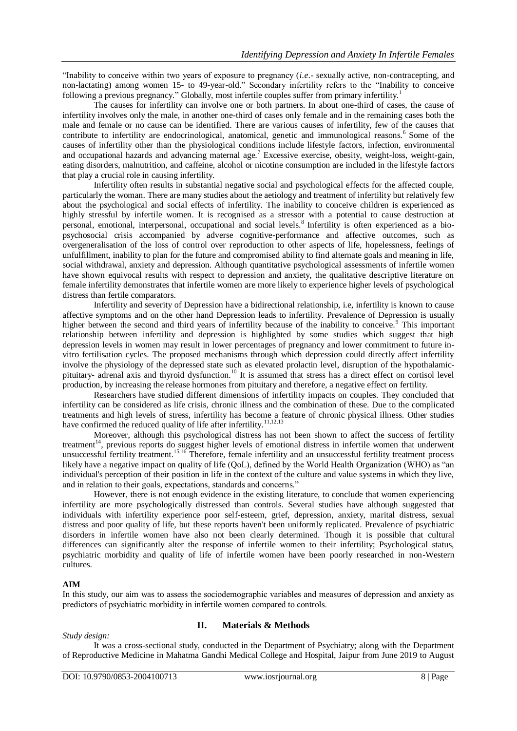"Inability to conceive within two years of exposure to pregnancy (*i.e*.- sexually active, non-contracepting, and non-lactating) among women 15- to 49-year-old." Secondary infertility refers to the "Inability to conceive following a previous pregnancy." Globally, most infertile couples suffer from primary infertility.<sup>1</sup>

The causes for infertility can involve one or both partners. In about one-third of cases, the cause of infertility involves only the male, in another one-third of cases only female and in the remaining cases both the male and female or no cause can be identified. There are various causes of infertility, few of the causes that contribute to infertility are endocrinological, anatomical, genetic and immunological reasons.<sup>6</sup> Some of the causes of infertility other than the physiological conditions include lifestyle factors, infection, environmental and occupational hazards and advancing maternal age.<sup>7</sup> Excessive exercise, obesity, weight-loss, weight-gain, eating disorders, malnutrition, and caffeine, alcohol or nicotine consumption are included in the lifestyle factors that play a crucial role in causing infertility.

Infertility often results in substantial negative social and psychological effects for the affected couple, particularly the woman. There are many studies about the aetiology and treatment of infertility but relatively few about the psychological and social effects of infertility. The inability to conceive children is experienced as highly stressful by infertile women. It is recognised as a stressor with a potential to cause destruction at personal, emotional, interpersonal, occupational and social levels.<sup>8</sup> Infertility is often experienced as a biopsychosocial crisis accompanied by adverse cognitive-performance and affective outcomes, such as overgeneralisation of the loss of control over reproduction to other aspects of life, hopelessness, feelings of unfulfillment, inability to plan for the future and compromised ability to find alternate goals and meaning in life, social withdrawal, anxiety and depression. Although quantitative psychological assessments of infertile women have shown equivocal results with respect to depression and anxiety, the qualitative descriptive literature on female infertility demonstrates that infertile women are more likely to experience higher levels of psychological distress than fertile comparators.

Infertility and severity of Depression have a bidirectional relationship, i.e, infertility is known to cause affective symptoms and on the other hand Depression leads to infertility. Prevalence of Depression is usually higher between the second and third years of infertility because of the inability to conceive.<sup>9</sup> This important relationship between infertility and depression is highlighted by some studies which suggest that high depression levels in women may result in lower percentages of pregnancy and lower commitment to future invitro fertilisation cycles. The proposed mechanisms through which depression could directly affect infertility involve the physiology of the depressed state such as elevated prolactin level, disruption of the hypothalamicpituitary- adrenal axis and thyroid dysfunction.<sup>10</sup> It is assumed that stress has a direct effect on cortisol level production, by increasing the release hormones from pituitary and therefore, a negative effect on fertility.

Researchers have studied different dimensions of infertility impacts on couples. They concluded that infertility can be considered as life crisis, chronic illness and the combination of these. Due to the complicated treatments and high levels of stress, infertility has become a feature of chronic physical illness. Other studies have confirmed the reduced quality of life after infertility.<sup>11,12,13</sup>

Moreover, although this psychological distress has not been shown to affect the success of fertility treatment<sup>14</sup>, previous reports do suggest higher levels of emotional distress in infertile women that underwent unsuccessful fertility treatment.<sup>15,16</sup> Therefore, female infertility and an unsuccessful fertility treatment process likely have a negative impact on quality of life (QoL), defined by the World Health Organization (WHO) as "an individual's perception of their position in life in the context of the culture and value systems in which they live, and in relation to their goals, expectations, standards and concerns."

However, there is not enough evidence in the existing literature, to conclude that women experiencing infertility are more psychologically distressed than controls. Several studies have although suggested that individuals with infertility experience poor self-esteem, grief, depression, anxiety, marital distress, sexual distress and poor quality of life, but these reports haven't been uniformly replicated. Prevalence of psychiatric disorders in infertile women have also not been clearly determined. Though it is possible that cultural differences can significantly alter the response of infertile women to their infertility; Psychological status, psychiatric morbidity and quality of life of infertile women have been poorly researched in non-Western cultures.

# **AIM**

In this study, our aim was to assess the sociodemographic variables and measures of depression and anxiety as predictors of psychiatric morbidity in infertile women compared to controls.

#### *Study design:*

# **II. Materials & Methods**

It was a cross-sectional study, conducted in the Department of Psychiatry; along with the Department of Reproductive Medicine in Mahatma Gandhi Medical College and Hospital, Jaipur from June 2019 to August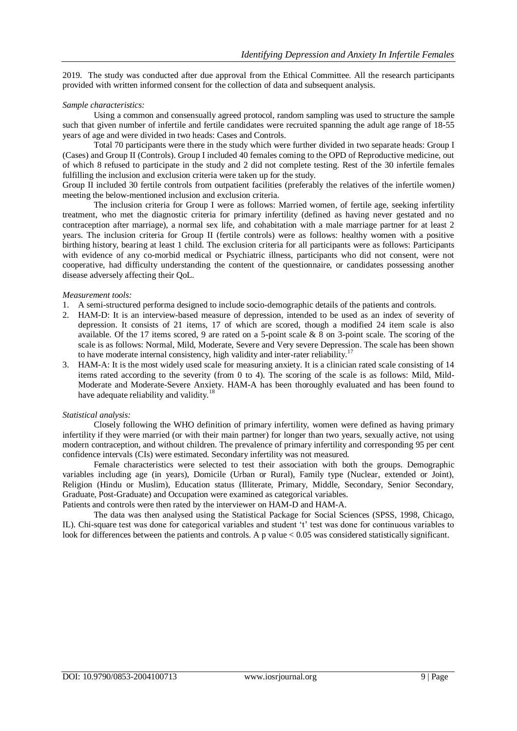2019. The study was conducted after due approval from the Ethical Committee. All the research participants provided with written informed consent for the collection of data and subsequent analysis.

#### *Sample characteristics:*

Using a common and consensually agreed protocol, random sampling was used to structure the sample such that given number of infertile and fertile candidates were recruited spanning the adult age range of 18-55 years of age and were divided in two heads: Cases and Controls.

Total 70 participants were there in the study which were further divided in two separate heads: Group I (Cases) and Group II (Controls). Group I included 40 females coming to the OPD of Reproductive medicine, out of which 8 refused to participate in the study and 2 did not complete testing. Rest of the 30 infertile females fulfilling the inclusion and exclusion criteria were taken up for the study.

Group II included 30 fertile controls from outpatient facilities (preferably the relatives of the infertile women*)* meeting the below-mentioned inclusion and exclusion criteria.

The inclusion criteria for Group I were as follows: Married women, of fertile age, seeking infertility treatment, who met the diagnostic criteria for primary infertility (defined as having never gestated and no contraception after marriage), a normal sex life, and cohabitation with a male marriage partner for at least 2 years. The inclusion criteria for Group II (fertile controls) were as follows: healthy women with a positive birthing history, bearing at least 1 child. The exclusion criteria for all participants were as follows: Participants with evidence of any co-morbid medical or Psychiatric illness, participants who did not consent, were not cooperative, had difficulty understanding the content of the questionnaire, or candidates possessing another disease adversely affecting their QoL.

#### *Measurement tools:*

- 1. A semi-structured performa designed to include socio-demographic details of the patients and controls.
- 2. ΗΑΜ-D: It is an interview-based measure of depression, intended to be used as an index of severity of depression. It consists of 21 items, 17 of which are scored, though a modified 24 item scale is also available. Of the 17 items scored, 9 are rated on a 5-point scale & 8 on 3-point scale. The scoring of the scale is as follows: Normal, Mild, Moderate, Severe and Very severe Depression. The scale has been shown to have moderate internal consistency, high validity and inter-rater reliability.<sup>17</sup>
- 3. HAM-A: It is the most widely used scale for measuring anxiety. It is a clinician rated scale consisting of 14 items rated according to the severity (from 0 to 4). The scoring of the scale is as follows: Mild, Mild-Moderate and Moderate-Severe Anxiety. HAM-A has been thoroughly evaluated and has been found to have adequate reliability and validity.<sup>18</sup>

#### *Statistical analysis:*

Closely following the WHO definition of primary infertility, women were defined as having primary infertility if they were married (or with their main partner) for longer than two years, sexually active, not using modern contraception, and without children. The prevalence of primary infertility and corresponding 95 per cent confidence intervals (CIs) were estimated. Secondary infertility was not measured.

Female characteristics were selected to test their association with both the groups. Demographic variables including age (in years), Domicile (Urban or Rural), Family type (Nuclear, extended or Joint), Religion (Hindu or Muslim), Education status (Illiterate, Primary, Middle, Secondary, Senior Secondary, Graduate, Post-Graduate) and Occupation were examined as categorical variables.

Patients and controls were then rated by the interviewer on HAM-D and HAM-A.

The data was then analysed using the Statistical Package for Social Sciences (SPSS, 1998, Chicago, IL). Chi-square test was done for categorical variables and student 't' test was done for continuous variables to look for differences between the patients and controls. A p value < 0.05 was considered statistically significant.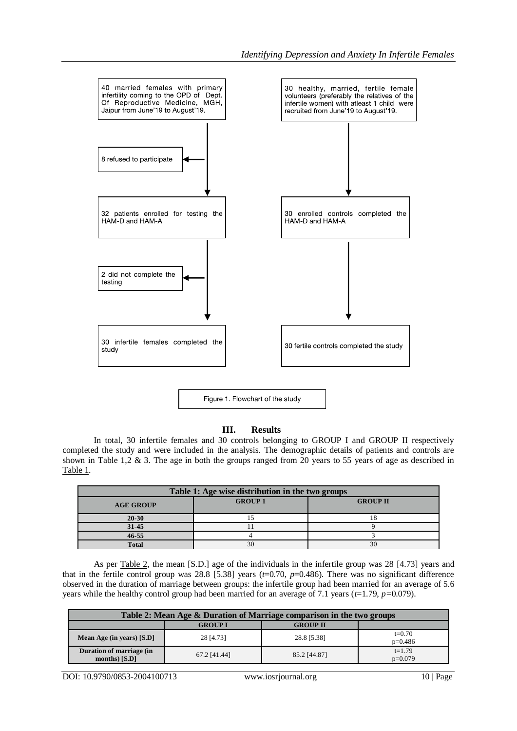

#### **III. Results**

In total, 30 infertile females and 30 controls belonging to GROUP I and GROUP II respectively completed the study and were included in the analysis. The demographic details of patients and controls are shown in Table 1,2 & 3. The age in both the groups ranged from 20 years to 55 years of age as described in Table 1.

| Table 1: Age wise distribution in the two groups |                |                 |  |  |
|--------------------------------------------------|----------------|-----------------|--|--|
| <b>AGE GROUP</b>                                 | <b>GROUP 1</b> | <b>GROUP II</b> |  |  |
| $20 - 30$                                        |                |                 |  |  |
| 31-45                                            |                |                 |  |  |
| $46 - 55$                                        |                |                 |  |  |
| <b>Total</b>                                     | 30             | 30              |  |  |

As per Table 2, the mean [S.D.] age of the individuals in the infertile group was 28 [4.73] years and that in the fertile control group was  $28.8$  [5.38] years ( $t=0.70$ ,  $p=0.486$ ). There was no significant difference observed in the duration of marriage between groups: the infertile group had been married for an average of 5.6 years while the healthy control group had been married for an average of 7.1 years (*t*=1.79, *p=*0.079).

| Table 2: Mean Age & Duration of Marriage comparison in the two groups |                |                 |                       |  |
|-----------------------------------------------------------------------|----------------|-----------------|-----------------------|--|
|                                                                       | <b>GROUP I</b> | <b>GROUP II</b> |                       |  |
| Mean Age (in years) $[S.D]$                                           | 28 [4.73]      | 28.8 [5.38]     | $t=0.70$<br>$p=0.486$ |  |
| Duration of marriage (in<br>months) $[S.D]$                           | 67.2 [41.44]   | 85.2 [44.87]    | $t=1.79$<br>$p=0.079$ |  |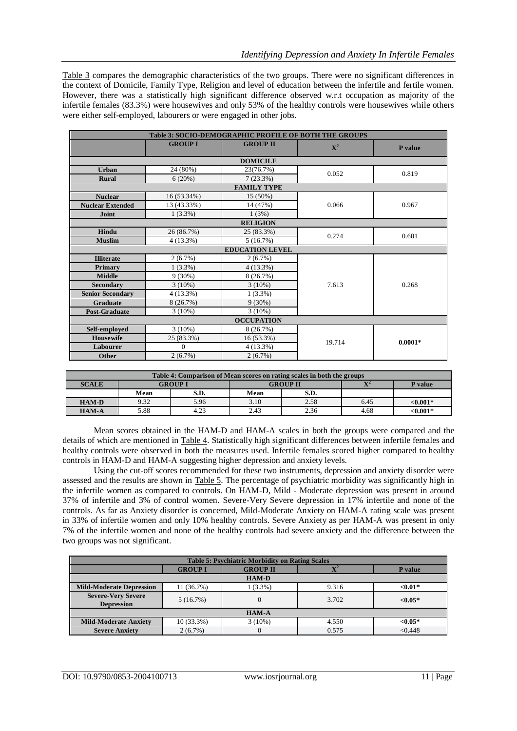Table 3 compares the demographic characteristics of the two groups. There were no significant differences in the context of Domicile, Family Type, Religion and level of education between the infertile and fertile women. However, there was a statistically high significant difference observed w.r.t occupation as majority of the infertile females (83.3%) were housewives and only 53% of the healthy controls were housewives while others were either self-employed, labourers or were engaged in other jobs.

| <b>Table 3: SOCIO-DEMOGRAPHIC PROFILE OF BOTH THE GROUPS</b> |                |                        |                |           |
|--------------------------------------------------------------|----------------|------------------------|----------------|-----------|
|                                                              | <b>GROUP I</b> | <b>GROUP II</b>        | $\mathbf{X}^2$ | P value   |
|                                                              |                | <b>DOMICILE</b>        |                |           |
| <b>Urban</b>                                                 | 24 (80%)       | 23(76.7%)              | 0.052          | 0.819     |
| <b>Rural</b>                                                 | 6(20%)         | 7(23.3%)               |                |           |
|                                                              |                | <b>FAMILY TYPE</b>     |                |           |
| <b>Nuclear</b>                                               | 16 (53.34%)    | 15 (50%)               |                | 0.967     |
| <b>Nuclear Extended</b>                                      | 13 (43.33%)    | 14 (47%)               | 0.066          |           |
| Joint                                                        | $1(3.3\%)$     | 1(3%)                  |                |           |
|                                                              |                | <b>RELIGION</b>        |                |           |
| Hindu                                                        | 26 (86.7%)     | 25 (83.3%)             | 0.274          | 0.601     |
| <b>Muslim</b>                                                | 4(13.3%)       | 5(16.7%)               |                |           |
|                                                              |                | <b>EDUCATION LEVEL</b> |                |           |
| <b>Illiterate</b>                                            | 2(6.7%)        | $2(6.7\%)$             |                | 0.268     |
| Primary                                                      | $1(3.3\%)$     | $4(13.3\%)$            |                |           |
| <b>Middle</b>                                                | $9(30\%)$      | 8(26.7%)               |                |           |
| <b>Secondary</b>                                             | $3(10\%)$      | $3(10\%)$              | 7.613          |           |
| <b>Senior Secondary</b>                                      | $4(13.3\%)$    | $1(3.3\%)$             |                |           |
| Graduate                                                     | 8(26.7%)       | $9(30\%)$              |                |           |
| <b>Post-Graduate</b>                                         | $3(10\%)$      | $3(10\%)$              |                |           |
| <b>OCCUPATION</b>                                            |                |                        |                |           |
| Self-employed                                                | $3(10\%)$      | 8(26.7%)               |                | $0.0001*$ |
| <b>Housewife</b>                                             | 25 (83.3%)     | 16 (53.3%)             | 19.714         |           |
| Labourer                                                     | $\Omega$       | $4(13.3\%)$            |                |           |
| Other                                                        | 2(6.7%)        | $2(6.7\%)$             |                |           |

| Table 4: Comparison of Mean scores on rating scales in both the groups |      |                |                 |      |                |             |
|------------------------------------------------------------------------|------|----------------|-----------------|------|----------------|-------------|
| <b>SCALE</b>                                                           |      | <b>GROUP 1</b> | <b>GROUP II</b> |      | $\mathbf{v}^2$ | P value     |
|                                                                        | Mean | S.D.           | Mean            | S.D. |                |             |
| <b>HAM-D</b>                                                           | 9.32 | 5.96           | 3.10            | 2.58 | 6.45           | <0.001*     |
| <b>HAM-A</b>                                                           | 5.88 | 4.23           | 2.43            | 2.36 | 4.68           | ${<}0.001*$ |

Mean scores obtained in the HAM-D and HAM-A scales in both the groups were compared and the details of which are mentioned in Table 4. Statistically high significant differences between infertile females and healthy controls were observed in both the measures used. Infertile females scored higher compared to healthy controls in HAM-D and HAM-A suggesting higher depression and anxiety levels.

Using the cut-off scores recommended for these two instruments, depression and anxiety disorder were assessed and the results are shown in Table 5. The percentage of psychiatric morbidity was significantly high in the infertile women as compared to controls. On HAM-D, Mild - Moderate depression was present in around 37% of infertile and 3% of control women. Severe-Very Severe depression in 17% infertile and none of the controls. As far as Anxiety disorder is concerned, Mild-Moderate Anxiety on HAM-A rating scale was present in 33% of infertile women and only 10% healthy controls. Severe Anxiety as per HAM-A was present in only 7% of the infertile women and none of the healthy controls had severe anxiety and the difference between the two groups was not significant.

| <b>Table 5: Psychiatric Morbidity on Rating Scales</b> |                |                 |            |            |
|--------------------------------------------------------|----------------|-----------------|------------|------------|
|                                                        | <b>GROUP I</b> | <b>GROUP II</b> | $T^2$<br>Δ | P value    |
| <b>HAM-D</b>                                           |                |                 |            |            |
| <b>Mild-Moderate Depression</b>                        | 11 (36.7%)     | $(3.3\%)$       | 9.316      | $< 0.01*$  |
| <b>Severe-Very Severe</b><br><b>Depression</b>         | 5(16.7%)       |                 | 3.702      | $< 0.05*$  |
| <b>HAM-A</b>                                           |                |                 |            |            |
| <b>Mild-Moderate Anxiety</b>                           | $10(33.3\%)$   | $3(10\%)$       | 4.550      | ${<}0.05*$ |
| <b>Severe Anxiety</b>                                  | $2(6.7\%)$     | 0               | 0.575      | < 0.448    |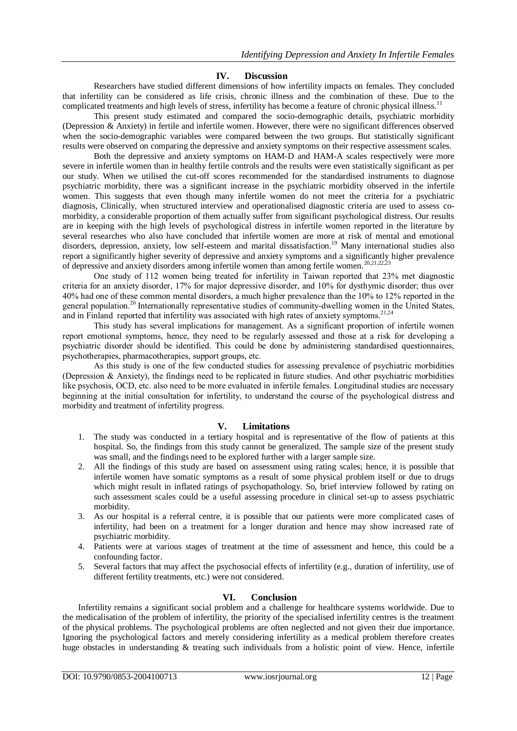#### **IV. Discussion**

Researchers have studied different dimensions of how infertility impacts on females. They concluded that infertility can be considered as life crisis, chronic illness and the combination of these. Due to the complicated treatments and high levels of stress, infertility has become a feature of chronic physical illness.<sup>11</sup>

This present study estimated and compared the socio-demographic details, psychiatric morbidity (Depression & Anxiety) in fertile and infertile women. However, there were no significant differences observed when the socio-demographic variables were compared between the two groups. But statistically significant results were observed on comparing the depressive and anxiety symptoms on their respective assessment scales.

Both the depressive and anxiety symptoms on HAM-D and HAM-A scales respectively were more severe in infertile women than in healthy fertile controls and the results were even statistically significant as per our study. When we utilised the cut-off scores recommended for the standardised instruments to diagnose psychiatric morbidity, there was a significant increase in the psychiatric morbidity observed in the infertile women. This suggests that even though many infertile women do not meet the criteria for a psychiatric diagnosis, Clinically, when structured interview and operationalised diagnostic criteria are used to assess comorbidity, a considerable proportion of them actually suffer from significant psychological distress. Our results are in keeping with the high levels of psychological distress in infertile women reported in the literature by several researches who also have concluded that infertile women are more at risk of mental and emotional disorders, depression, anxiety, low self-esteem and marital dissatisfaction.<sup>19</sup> Many international studies also report a significantly higher severity of depressive and anxiety symptoms and a significantly higher prevalence of depressive and anxiety disorders among infertile women than among fertile women.<sup>20,21,22</sup>,

One study of 112 women being treated for infertility in Taiwan reported that 23% met diagnostic criteria for an anxiety disorder, 17% for major depressive disorder, and 10% for dysthymic disorder; thus over 40% had one of these common mental disorders, a much higher prevalence than the 10% to 12% reported in the general population.<sup>20</sup> Internationally representative studies of community-dwelling women in the United States, and in Finland reported that infertility was associated with high rates of anxiety symptoms.<sup>21,24</sup>

This study has several implications for management. As a significant proportion of infertile women report emotional symptoms, hence, they need to be regularly assessed and those at a risk for developing a psychiatric disorder should be identified. This could be done by administering standardised questionnaires, psychotherapies, pharmacotherapies, support groups, etc.

As this study is one of the few conducted studies for assessing prevalence of psychiatric morbidities (Depression & Anxiety), the findings need to be replicated in future studies. And other psychiatric morbidities like psychosis, OCD, etc. also need to be more evaluated in infertile females. Longitudinal studies are necessary beginning at the initial consultation for infertility, to understand the course of the psychological distress and morbidity and treatment of infertility progress.

# **V. Limitations**

- 1. The study was conducted in a tertiary hospital and is representative of the flow of patients at this hospital. So, the findings from this study cannot be generalized. The sample size of the present study was small, and the findings need to be explored further with a larger sample size.
- 2. All the findings of this study are based on assessment using rating scales; hence, it is possible that infertile women have somatic symptoms as a result of some physical problem itself or due to drugs which might result in inflated ratings of psychopathology. So, brief interview followed by rating on such assessment scales could be a useful assessing procedure in clinical set-up to assess psychiatric morbidity.
- 3. As our hospital is a referral centre, it is possible that our patients were more complicated cases of infertility, had been on a treatment for a longer duration and hence may show increased rate of psychiatric morbidity.
- 4. Patients were at various stages of treatment at the time of assessment and hence, this could be a confounding factor.
- 5. Several factors that may affect the psychosocial effects of infertility (e.g., duration of infertility, use of different fertility treatments, etc.) were not considered.

#### **VI. Conclusion**

Infertility remains a significant social problem and a challenge for healthcare systems worldwide. Due to the medicalisation of the problem of infertility, the priority of the specialised infertility centres is the treatment of the physical problems. The psychological problems are often neglected and not given their due importance. Ignoring the psychological factors and merely considering infertility as a medical problem therefore creates huge obstacles in understanding & treating such individuals from a holistic point of view. Hence, infertile